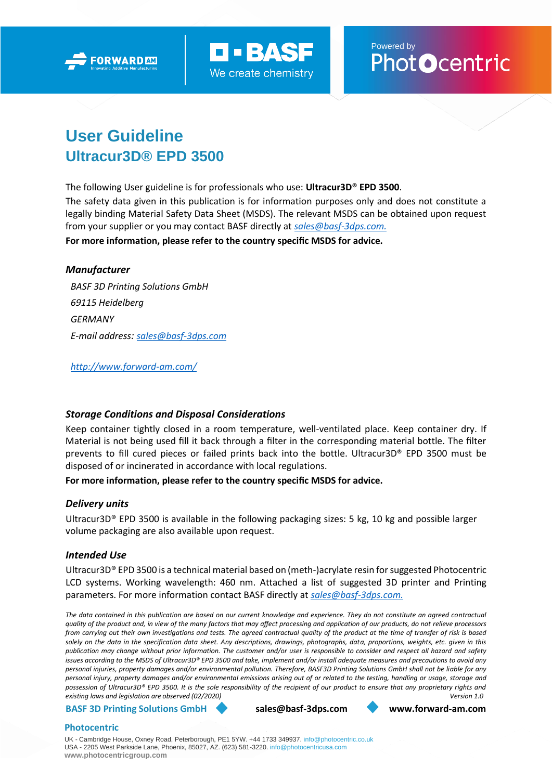



Powered by<br>Phot**O**centric

# **User Guideline Ultracur3D® EPD 3500**

The following User guideline is for professionals who use: **Ultracur3D® EPD 3500**.

The safety data given in this publication is for information purposes only and does not constitute a legally binding Material Safety Data Sheet (MSDS). The relevant MSDS can be obtained upon request from your supplier or you may contact BASF directly at *[sales@basf-3dps.com.](mailto:sales@basf-3dps.com)* **For more information, please refer to the country specific MSDS for advice.**

## *Manufacturer*

*BASF 3D Printing Solutions GmbH 69115 Heidelberg GERMANY E-mail address: [sales@basf-3dps.com](mailto:sales@basf-3dps.com)*

*<http://www.forward-am.com/>*

# *Storage Conditions and Disposal Considerations*

Keep container tightly closed in a room temperature, well-ventilated place. Keep container dry. If Material is not being used fill it back through a filter in the corresponding material bottle. The filter prevents to fill cured pieces or failed prints back into the bottle. Ultracur3D® EPD 3500 must be disposed of or incinerated in accordance with local regulations.

## **For more information, please refer to the country specific MSDS for advice.**

## *Delivery units*

Ultracur3D® EPD 3500 is available in the following packaging sizes: 5 kg, 10 kg and possible larger volume packaging are also available upon request.

## *Intended Use*

Ultracur3D® EPD 3500 is a technical material based on (meth-)acrylate resin for suggested Photocentric LCD systems. Working wavelength: 460 nm. Attached a list of suggested 3D printer and Printing parameters. For more information contact BASF directly at *[sales@basf-3dps.com.](mailto:sales@basf-3dps.com)*

*The data contained in this publication are based on our current knowledge and experience. They do not constitute an agreed contractual quality of the product and, in view of the many factors that may affect processing and application of our products, do not relieve processors from carrying out their own investigations and tests. The agreed contractual quality of the product at the time of transfer of risk is based solely on the data in the specification data sheet. Any descriptions, drawings, photographs, data, proportions, weights, etc. given in this publication may change without prior information. The customer and/or user is responsible to consider and respect all hazard and safety issues according to the MSDS of Ultracur3D® EPD 3500 and take, implement and/or install adequate measures and precautions to avoid any personal injuries, property damages and/or environmental pollution. Therefore, BASF3D Printing Solutions GmbH shall not be liable for any personal injury, property damages and/or environmental emissions arising out of or related to the testing, handling or usage, storage and possession of Ultracur3D® EPD 3500. It is the sole responsibility of the recipient of our product to ensure that any proprietary rights and existing laws and legislation are observed (02/2020) Version 1.0*

**BASF 3D Printing Solutions GmbH [sales@basf-3dps.com](mailto:sales@basf-3dps.com) [www.forward-am.com](http://www.forward-am.com/)**

## **Photocentric**

UK - Cambridge House, Oxney Road, Peterborough, PE1 5YW. +44 1733 349937. [info@photocentric.co.uk](mailto:info@photocentric.co.uk) USA - 2205 West Parkside Lane, Phoenix, 85027, AZ. (623) 581-3220[. info@photocentricusa.com](mailto:info@photocentricusa.com) **[www.photocentricgroup.com](http://www.photocentricgroup.com/)**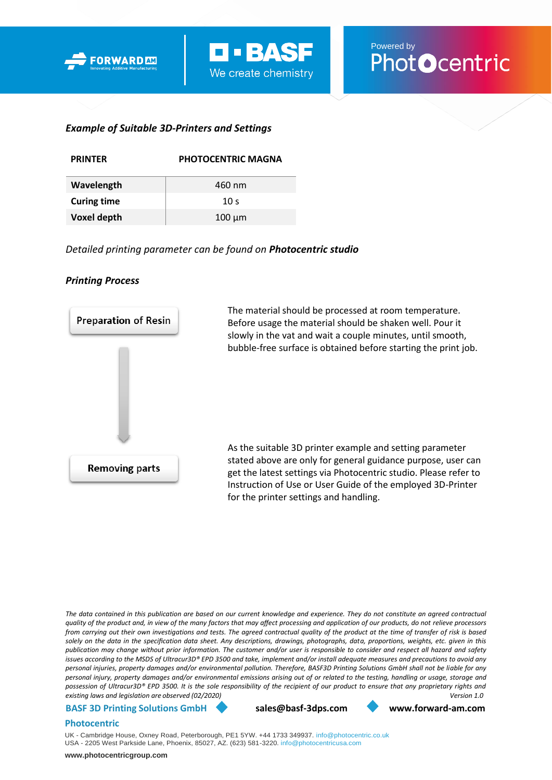



## *Example of Suitable 3D-Printers and Settings*

| <b>PRINTFR</b>     | <b>PHOTOCENTRIC MAGNA</b> |  |  |
|--------------------|---------------------------|--|--|
| Wavelength         | 460 nm                    |  |  |
| <b>Curing time</b> | 10 <sub>s</sub>           |  |  |
| <b>Voxel depth</b> | $100 \mu m$               |  |  |

*Detailed printing parameter can be found on Photocentric studio* 

# *Printing Process*



*The data contained in this publication are based on our current knowledge and experience. They do not constitute an agreed contractual quality of the product and, in view of the many factors that may affect processing and application of our products, do not relieve processors from carrying out their own investigations and tests. The agreed contractual quality of the product at the time of transfer of risk is based solely on the data in the specification data sheet. Any descriptions, drawings, photographs, data, proportions, weights, etc. given in this publication may change without prior information. The customer and/or user is responsible to consider and respect all hazard and safety issues according to the MSDS of Ultracur3D® EPD 3500 and take, implement and/or install adequate measures and precautions to avoid any personal injuries, property damages and/or environmental pollution. Therefore, BASF3D Printing Solutions GmbH shall not be liable for any personal injury, property damages and/or environmental emissions arising out of or related to the testing, handling or usage, storage and possession of Ultracur3D® EPD 3500. It is the sole responsibility of the recipient of our product to ensure that any proprietary rights and existing laws and legislation are observed (02/2020) Version 1.0*

#### **BASF 3D Printing Solutions GmbH [sales@basf-3dps.com](mailto:sales@basf-3dps.com) [www.forward-am.com](http://www.forward-am.com/)**

#### **Photocentric**

UK - Cambridge House, Oxney Road, Peterborough, PE1 5YW. +44 1733 349937. [info@photocentric.co.uk](mailto:info@photocentric.co.uk) USA - 2205 West Parkside Lane, Phoenix, 85027, AZ. (623) 581-3220. [info@photocentricusa.com](mailto:info@photocentricusa.com)

**[www.photocentricgroup.com](http://www.photocentricgroup.com/)**